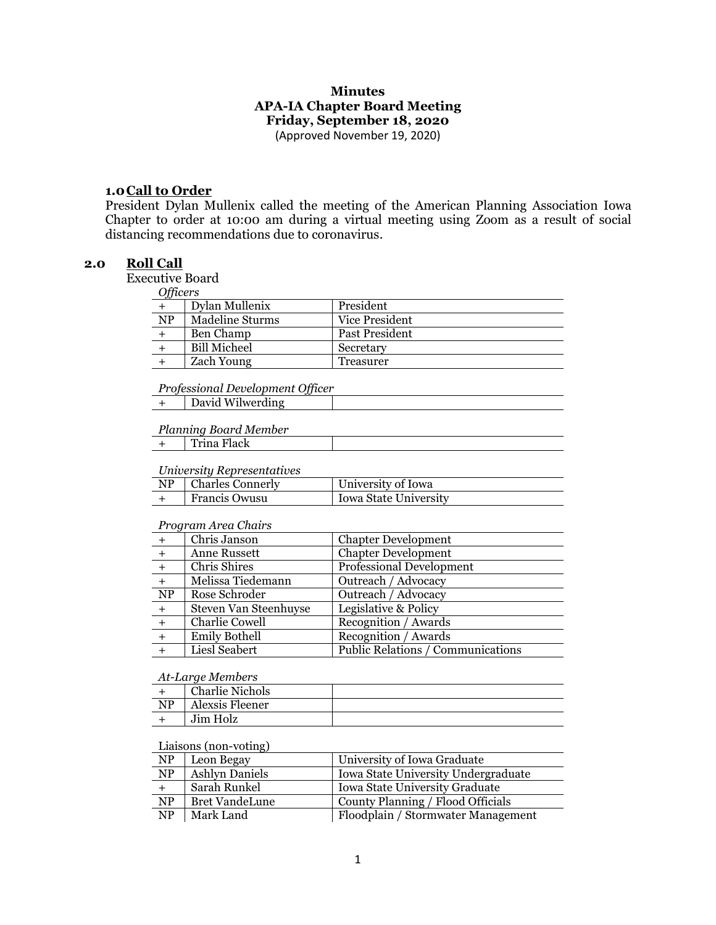# **Minutes APA-IA Chapter Board Meeting Friday, September 18, 2020**

(Approved November 19, 2020)

### **1.0Call to Order**

President Dylan Mullenix called the meeting of the American Planning Association Iowa Chapter to order at 10:00 am during a virtual meeting using Zoom as a result of social distancing recommendations due to coronavirus.

# **2.0 Roll Call**

Executive Board

| лпсег |
|-------|
|-------|

| y         |                     |                |
|-----------|---------------------|----------------|
|           | Dylan Mullenix      | President      |
| <b>NP</b> | Madeline Sturms     | Vice President |
|           | Ben Champ           | Past President |
|           | <b>Bill Micheel</b> | Secretary      |
|           | Zach Young          | Treasurer      |

#### *Professional Development Officer*

|--|

#### *Planning Board Member*

|--|

#### *University Representatives*

| NP   Charles Connerly | University of Iowa    |
|-----------------------|-----------------------|
| <b>Francis Owusu</b>  | Iowa State University |

#### *Program Area Chairs*

|     | Chris Janson          | <b>Chapter Development</b>        |
|-----|-----------------------|-----------------------------------|
|     | Anne Russett          | <b>Chapter Development</b>        |
|     | Chris Shires          | <b>Professional Development</b>   |
|     | Melissa Tiedemann     | Outreach / Advocacy               |
| NP  | Rose Schroder         | Outreach / Advocacy               |
| $+$ | Steven Van Steenhuyse | Legislative & Policy              |
| $+$ | Charlie Cowell        | Recognition / Awards              |
| $+$ | <b>Emily Bothell</b>  | Recognition / Awards              |
|     | Liesl Seabert         | Public Relations / Communications |
|     |                       |                                   |

#### *At-Large Members*

|                | <b>Charlie Nichols</b> |  |
|----------------|------------------------|--|
| N <sub>D</sub> | Alexsis Fleener        |  |
|                | Jim Holz               |  |

### Liaisons (non-voting)

| NP                     | Leon Begay            | University of Iowa Graduate         |
|------------------------|-----------------------|-------------------------------------|
| <b>NP</b>              | <b>Ashlyn Daniels</b> | Iowa State University Undergraduate |
|                        | Sarah Runkel          | Iowa State University Graduate      |
| $\overline{\text{NP}}$ | <b>Bret VandeLune</b> | County Planning / Flood Officials   |
| $\overline{\text{NP}}$ | Mark Land             | Floodplain / Stormwater Management  |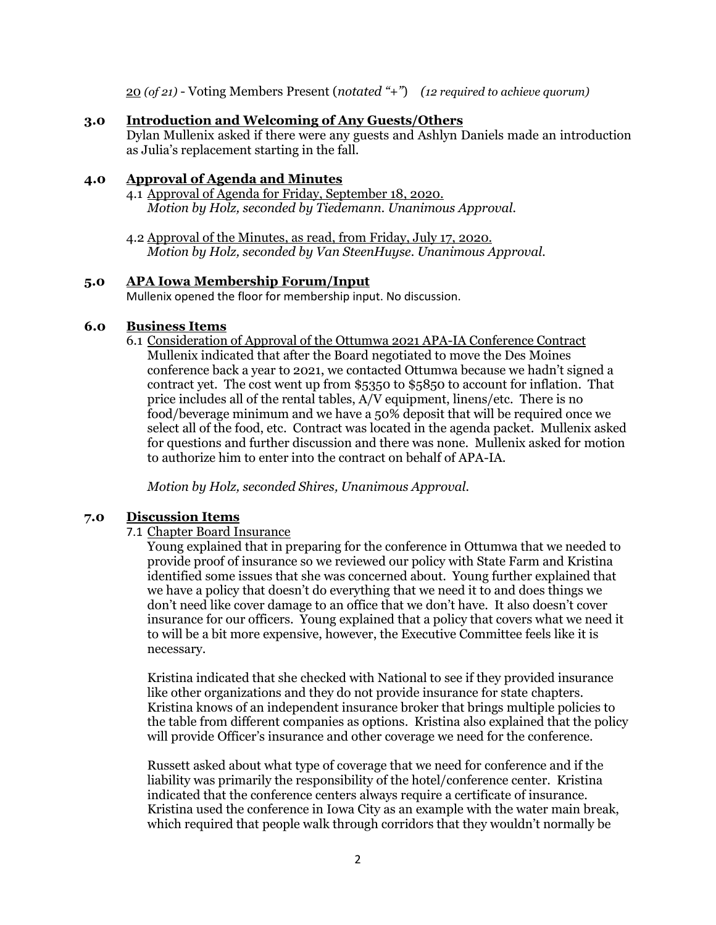20 *(of 21)* - Voting Members Present (*notated "+"*) *(12 required to achieve quorum)*

## **3.0 Introduction and Welcoming of Any Guests/Others**

Dylan Mullenix asked if there were any guests and Ashlyn Daniels made an introduction as Julia's replacement starting in the fall.

# **4.0 Approval of Agenda and Minutes**

- 4.1 Approval of Agenda for Friday, September 18, 2020. *Motion by Holz, seconded by Tiedemann. Unanimous Approval.*
- 4.2 Approval of the Minutes, as read, from Friday, July 17, 2020. *Motion by Holz, seconded by Van SteenHuyse. Unanimous Approval.*

### **5.0 APA Iowa Membership Forum/Input**

Mullenix opened the floor for membership input. No discussion.

# **6.0 Business Items**

6.1 Consideration of Approval of the Ottumwa 2021 APA-IA Conference Contract Mullenix indicated that after the Board negotiated to move the Des Moines conference back a year to 2021, we contacted Ottumwa because we hadn't signed a contract yet. The cost went up from \$5350 to \$5850 to account for inflation. That price includes all of the rental tables, A/V equipment, linens/etc. There is no food/beverage minimum and we have a 50% deposit that will be required once we select all of the food, etc. Contract was located in the agenda packet. Mullenix asked for questions and further discussion and there was none. Mullenix asked for motion to authorize him to enter into the contract on behalf of APA-IA.

*Motion by Holz, seconded Shires, Unanimous Approval.*

# **7.0 Discussion Items**

### 7.1 Chapter Board Insurance

Young explained that in preparing for the conference in Ottumwa that we needed to provide proof of insurance so we reviewed our policy with State Farm and Kristina identified some issues that she was concerned about. Young further explained that we have a policy that doesn't do everything that we need it to and does things we don't need like cover damage to an office that we don't have. It also doesn't cover insurance for our officers. Young explained that a policy that covers what we need it to will be a bit more expensive, however, the Executive Committee feels like it is necessary.

Kristina indicated that she checked with National to see if they provided insurance like other organizations and they do not provide insurance for state chapters. Kristina knows of an independent insurance broker that brings multiple policies to the table from different companies as options. Kristina also explained that the policy will provide Officer's insurance and other coverage we need for the conference.

Russett asked about what type of coverage that we need for conference and if the liability was primarily the responsibility of the hotel/conference center. Kristina indicated that the conference centers always require a certificate of insurance. Kristina used the conference in Iowa City as an example with the water main break, which required that people walk through corridors that they wouldn't normally be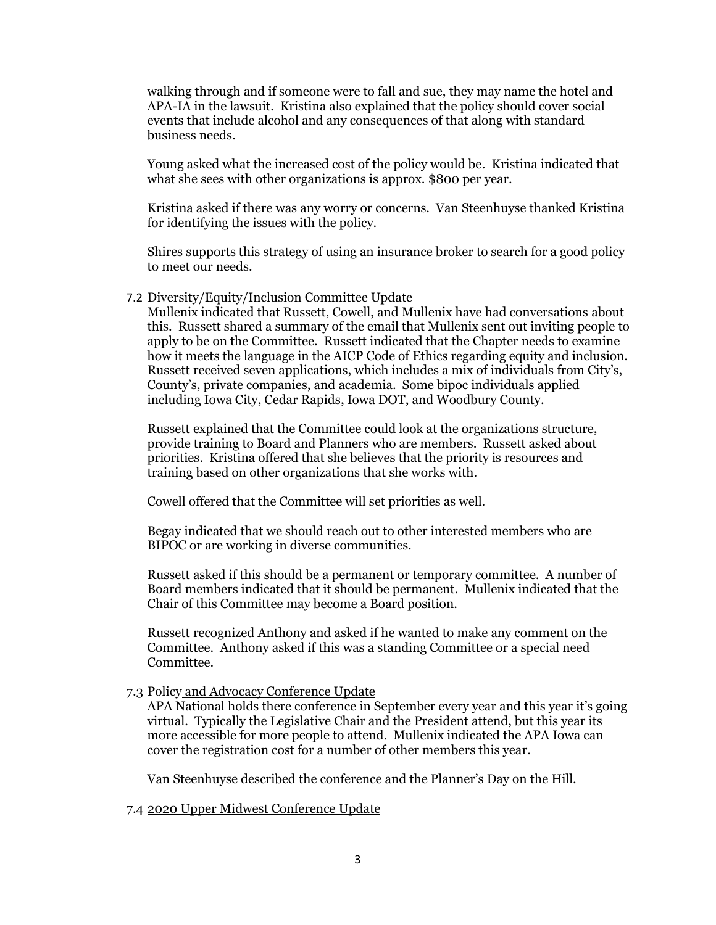walking through and if someone were to fall and sue, they may name the hotel and APA-IA in the lawsuit. Kristina also explained that the policy should cover social events that include alcohol and any consequences of that along with standard business needs.

Young asked what the increased cost of the policy would be. Kristina indicated that what she sees with other organizations is approx. \$800 per year.

Kristina asked if there was any worry or concerns. Van Steenhuyse thanked Kristina for identifying the issues with the policy.

Shires supports this strategy of using an insurance broker to search for a good policy to meet our needs.

#### 7.2 Diversity/Equity/Inclusion Committee Update

Mullenix indicated that Russett, Cowell, and Mullenix have had conversations about this. Russett shared a summary of the email that Mullenix sent out inviting people to apply to be on the Committee. Russett indicated that the Chapter needs to examine how it meets the language in the AICP Code of Ethics regarding equity and inclusion. Russett received seven applications, which includes a mix of individuals from City's, County's, private companies, and academia. Some bipoc individuals applied including Iowa City, Cedar Rapids, Iowa DOT, and Woodbury County.

Russett explained that the Committee could look at the organizations structure, provide training to Board and Planners who are members. Russett asked about priorities. Kristina offered that she believes that the priority is resources and training based on other organizations that she works with.

Cowell offered that the Committee will set priorities as well.

Begay indicated that we should reach out to other interested members who are BIPOC or are working in diverse communities.

Russett asked if this should be a permanent or temporary committee. A number of Board members indicated that it should be permanent. Mullenix indicated that the Chair of this Committee may become a Board position.

Russett recognized Anthony and asked if he wanted to make any comment on the Committee. Anthony asked if this was a standing Committee or a special need Committee.

#### 7.3 Policy and Advocacy Conference Update

APA National holds there conference in September every year and this year it's going virtual. Typically the Legislative Chair and the President attend, but this year its more accessible for more people to attend. Mullenix indicated the APA Iowa can cover the registration cost for a number of other members this year.

Van Steenhuyse described the conference and the Planner's Day on the Hill.

7.4 2020 Upper Midwest Conference Update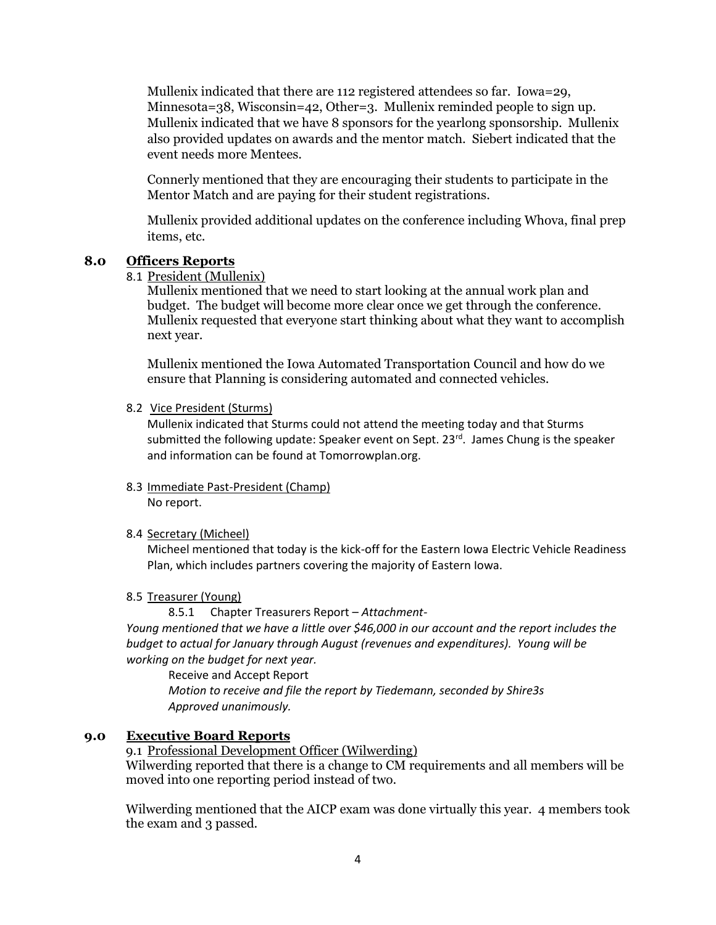Mullenix indicated that there are 112 registered attendees so far. Iowa=29, Minnesota=38, Wisconsin=42, Other=3. Mullenix reminded people to sign up. Mullenix indicated that we have 8 sponsors for the yearlong sponsorship. Mullenix also provided updates on awards and the mentor match. Siebert indicated that the event needs more Mentees.

Connerly mentioned that they are encouraging their students to participate in the Mentor Match and are paying for their student registrations.

Mullenix provided additional updates on the conference including Whova, final prep items, etc.

### **8.0 Officers Reports**

## 8.1 President (Mullenix)

Mullenix mentioned that we need to start looking at the annual work plan and budget. The budget will become more clear once we get through the conference. Mullenix requested that everyone start thinking about what they want to accomplish next year.

Mullenix mentioned the Iowa Automated Transportation Council and how do we ensure that Planning is considering automated and connected vehicles.

#### 8.2 Vice President (Sturms)

Mullenix indicated that Sturms could not attend the meeting today and that Sturms submitted the following update: Speaker event on Sept.  $23^{rd}$ . James Chung is the speaker and information can be found at Tomorrowplan.org.

#### 8.3 Immediate Past-President (Champ) No report.

### 8.4 Secretary (Micheel)

Micheel mentioned that today is the kick-off for the Eastern Iowa Electric Vehicle Readiness Plan, which includes partners covering the majority of Eastern Iowa.

#### 8.5 Treasurer (Young)

8.5.1 Chapter Treasurers Report – *Attachment-*

*Young mentioned that we have a little over \$46,000 in our account and the report includes the budget to actual for January through August (revenues and expenditures). Young will be working on the budget for next year.*

Receive and Accept Report *Motion to receive and file the report by Tiedemann, seconded by Shire3s Approved unanimously.*

# **9.0 Executive Board Reports**

9.1 Professional Development Officer (Wilwerding) Wilwerding reported that there is a change to CM requirements and all members will be moved into one reporting period instead of two.

Wilwerding mentioned that the AICP exam was done virtually this year. 4 members took the exam and 3 passed.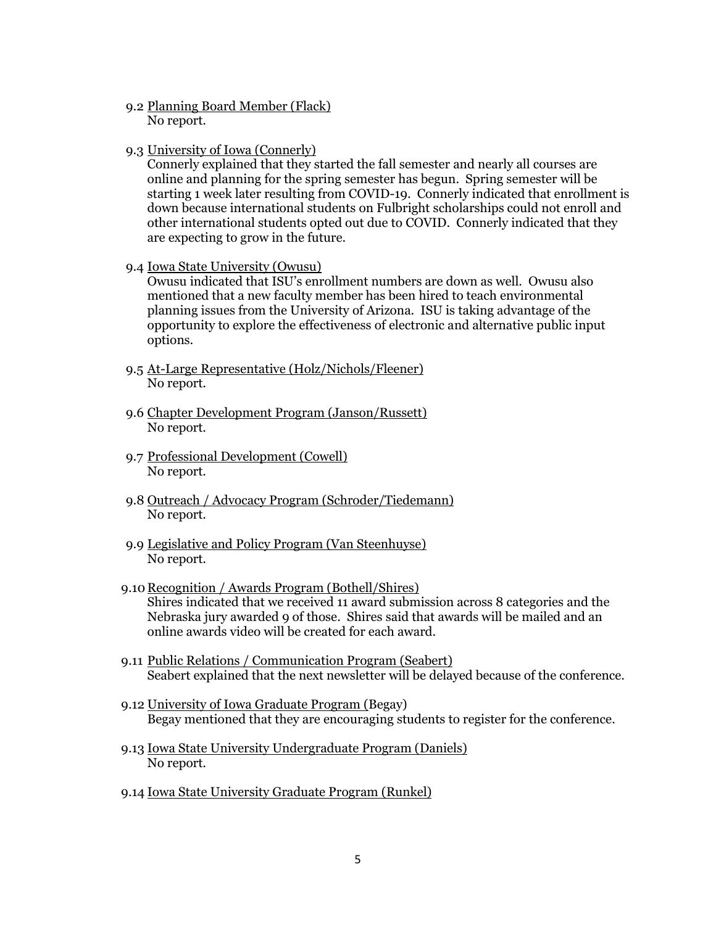- 9.2 Planning Board Member (Flack) No report.
- 9.3 University of Iowa (Connerly)

Connerly explained that they started the fall semester and nearly all courses are online and planning for the spring semester has begun. Spring semester will be starting 1 week later resulting from COVID-19. Connerly indicated that enrollment is down because international students on Fulbright scholarships could not enroll and other international students opted out due to COVID. Connerly indicated that they are expecting to grow in the future.

9.4 Iowa State University (Owusu)

Owusu indicated that ISU's enrollment numbers are down as well. Owusu also mentioned that a new faculty member has been hired to teach environmental planning issues from the University of Arizona. ISU is taking advantage of the opportunity to explore the effectiveness of electronic and alternative public input options.

- 9.5 At-Large Representative (Holz/Nichols/Fleener) No report.
- 9.6 Chapter Development Program (Janson/Russett) No report.
- 9.7 Professional Development (Cowell) No report.
- 9.8 Outreach / Advocacy Program (Schroder/Tiedemann) No report.
- 9.9 Legislative and Policy Program (Van Steenhuyse) No report.
- 9.10 Recognition / Awards Program (Bothell/Shires) Shires indicated that we received 11 award submission across 8 categories and the Nebraska jury awarded 9 of those. Shires said that awards will be mailed and an online awards video will be created for each award.
- 9.11 Public Relations / Communication Program (Seabert) Seabert explained that the next newsletter will be delayed because of the conference.
- 9.12 University of Iowa Graduate Program (Begay) Begay mentioned that they are encouraging students to register for the conference.
- 9.13 Iowa State University Undergraduate Program (Daniels) No report.
- 9.14 Iowa State University Graduate Program (Runkel)